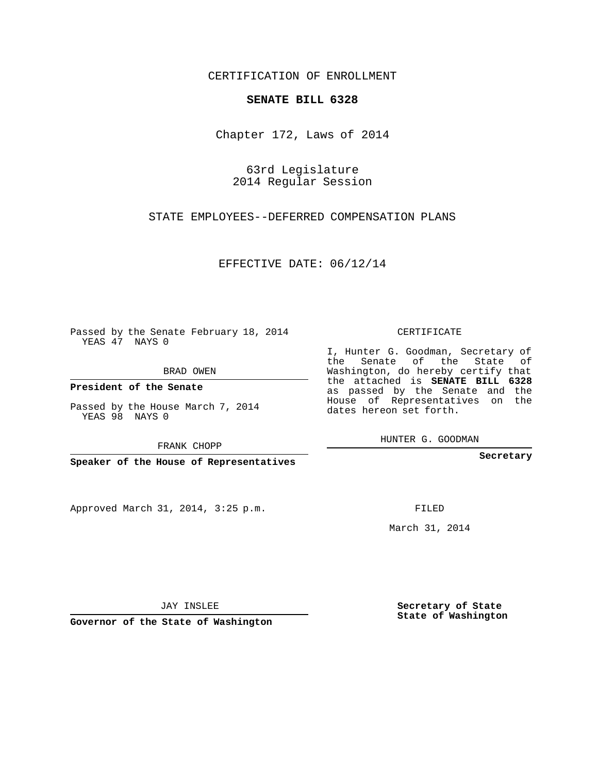## CERTIFICATION OF ENROLLMENT

## **SENATE BILL 6328**

Chapter 172, Laws of 2014

63rd Legislature 2014 Regular Session

STATE EMPLOYEES--DEFERRED COMPENSATION PLANS

EFFECTIVE DATE: 06/12/14

Passed by the Senate February 18, 2014 YEAS 47 NAYS 0

BRAD OWEN

**President of the Senate**

Passed by the House March 7, 2014 YEAS 98 NAYS 0

FRANK CHOPP

**Speaker of the House of Representatives**

Approved March 31, 2014, 3:25 p.m.

CERTIFICATE

I, Hunter G. Goodman, Secretary of the Senate of the State of Washington, do hereby certify that the attached is **SENATE BILL 6328** as passed by the Senate and the House of Representatives on the dates hereon set forth.

HUNTER G. GOODMAN

**Secretary**

FILED

March 31, 2014

**Secretary of State State of Washington**

JAY INSLEE

**Governor of the State of Washington**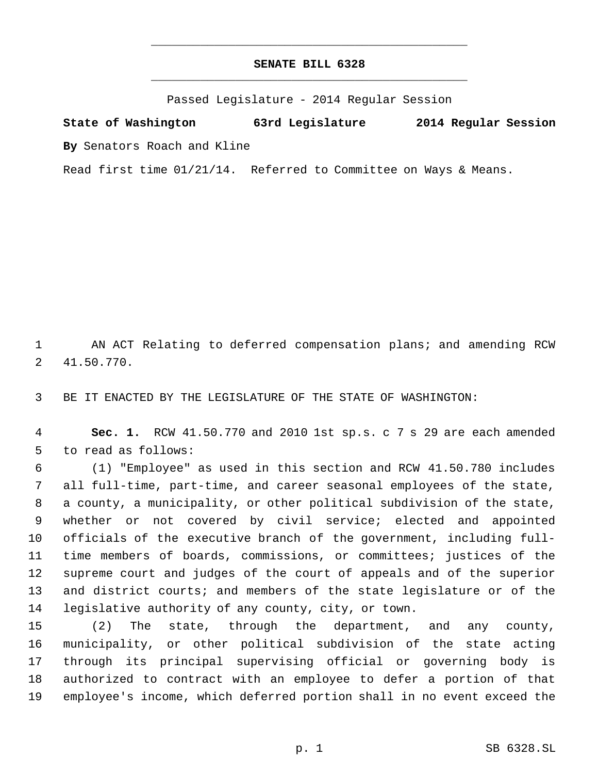## **SENATE BILL 6328** \_\_\_\_\_\_\_\_\_\_\_\_\_\_\_\_\_\_\_\_\_\_\_\_\_\_\_\_\_\_\_\_\_\_\_\_\_\_\_\_\_\_\_\_\_

\_\_\_\_\_\_\_\_\_\_\_\_\_\_\_\_\_\_\_\_\_\_\_\_\_\_\_\_\_\_\_\_\_\_\_\_\_\_\_\_\_\_\_\_\_

Passed Legislature - 2014 Regular Session

**State of Washington 63rd Legislature 2014 Regular Session By** Senators Roach and Kline

Read first time 01/21/14. Referred to Committee on Ways & Means.

 AN ACT Relating to deferred compensation plans; and amending RCW 41.50.770.

BE IT ENACTED BY THE LEGISLATURE OF THE STATE OF WASHINGTON:

 **Sec. 1.** RCW 41.50.770 and 2010 1st sp.s. c 7 s 29 are each amended to read as follows:

 (1) "Employee" as used in this section and RCW 41.50.780 includes all full-time, part-time, and career seasonal employees of the state, a county, a municipality, or other political subdivision of the state, whether or not covered by civil service; elected and appointed officials of the executive branch of the government, including full- time members of boards, commissions, or committees; justices of the supreme court and judges of the court of appeals and of the superior and district courts; and members of the state legislature or of the legislative authority of any county, city, or town.

 (2) The state, through the department, and any county, municipality, or other political subdivision of the state acting through its principal supervising official or governing body is authorized to contract with an employee to defer a portion of that employee's income, which deferred portion shall in no event exceed the